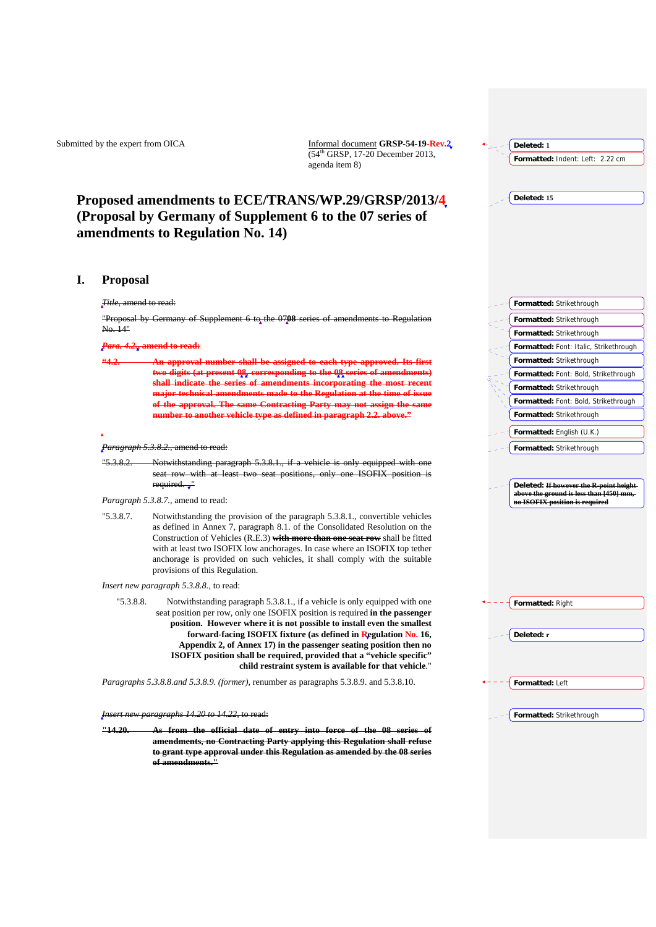Submitted by the expert from OICA Informal document **GRSP-54-19-Rev.2**  $(54<sup>th</sup> GRSP, 17-20$  December 2013, agenda item 8)

# **Proposed amendments to ECE/TRANS/WP.29/GRSP/2013/4 (Proposal by Germany of Supplement 6 to the 07 series of amendments to Regulation No. 14)**

# **I. Proposal**

## *Title,* amend to read:

"Proposal by Germany of Supplement 6 to the 0708 series of amendments to Regulation No. 14"

## *Para. 4.2.***, amend to read:**

**"4.2. An approval number shall be assigned to each type approved. Its first digits (at present 08, corresponding to the 08 series of am** shall indicate the series of amendments incorporating the most **major technical amendments made to the Regulation at the time of issue of the approval. The same Contracting Party may not assign the same number to another vehicle type as defined in paragraph 2.2. above."** 

#### *Paragraph 5.3.8.2.,* amend to read:

- "5.3.8.2. Notwithstanding paragraph 5.3.8.1., if a vehicle is only equipped with one seat row with at least two seat positions, only one ISOFIX position required. ."
- *Paragraph 5.3.8.7.,* amend to read:

"5.3.8.7. Notwithstanding the provision of the paragraph 5.3.8.1., convertible vehicles as defined in Annex 7, paragraph 8.1. of the Consolidated Resolution on the Construction of Vehicles (R.E.3) **with more than one seat row** shall be fitted with at least two ISOFIX low anchorages. In case where an ISOFIX top tether anchorage is provided on such vehicles, it shall comply with the suitable provisions of this Regulation.

*Insert new paragraph 5.3.8.8.,* to read:

"5.3.8.8. Notwithstanding paragraph 5.3.8.1., if a vehicle is only equipped with one seat position per row, only one ISOFIX position is required **in the passenger position. However where it is not possible to install even the smallest forward-facing ISOFIX fixture (as defined in Regulation No. 16, Appendix 2, of Annex 17) in the passenger seating position then no ISOFIX position shall be required, provided that a "vehicle specific" child restraint system is available for that vehicle**."

*Paragraphs 5.3.8.8.and 5.3.8.9. (former),* renumber as paragraphs 5.3.8.9. and 5.3.8.10.

*Insert new paragraphs 14.20 to 14.22,* to read:

**"14.20. As from the official date of entry into force of the 08 series of amendments, no Contracting Party applying this Regulation shall refuse to grant type approval under this Regulation as amended by the 08 series of amendments."** 

| Deleted: 1                                                                |
|---------------------------------------------------------------------------|
| Formatted: Indent: Left: 2.22 cm                                          |
|                                                                           |
| Deleted: 15                                                               |
|                                                                           |
|                                                                           |
|                                                                           |
|                                                                           |
|                                                                           |
|                                                                           |
| Formatted: Strikethrough                                                  |
| Formatted: Strikethrough                                                  |
| Formatted: Strikethrough                                                  |
| Formatted: Font: Italic, Strikethrough                                    |
| Formatted: Strikethrough                                                  |
| Formatted: Font: Bold, Strikethrough                                      |
| Formatted: Strikethrough                                                  |
| Formatted: Font: Bold, Strikethrough                                      |
| Formatted: Strikethrough                                                  |
| Formatted: English (U.K.)                                                 |
| Formatted: Strikethrough                                                  |
|                                                                           |
| Deleted: If however the R-point height-                                   |
| above the ground is less than [450] mm,<br>no ISOFIX position is required |
|                                                                           |
|                                                                           |
|                                                                           |
|                                                                           |
|                                                                           |
|                                                                           |
| Formatted: Right                                                          |
|                                                                           |
| Deleted: r                                                                |
|                                                                           |
|                                                                           |
| Formatted: Left                                                           |
|                                                                           |
| Formatted: Strikethrough                                                  |
|                                                                           |
|                                                                           |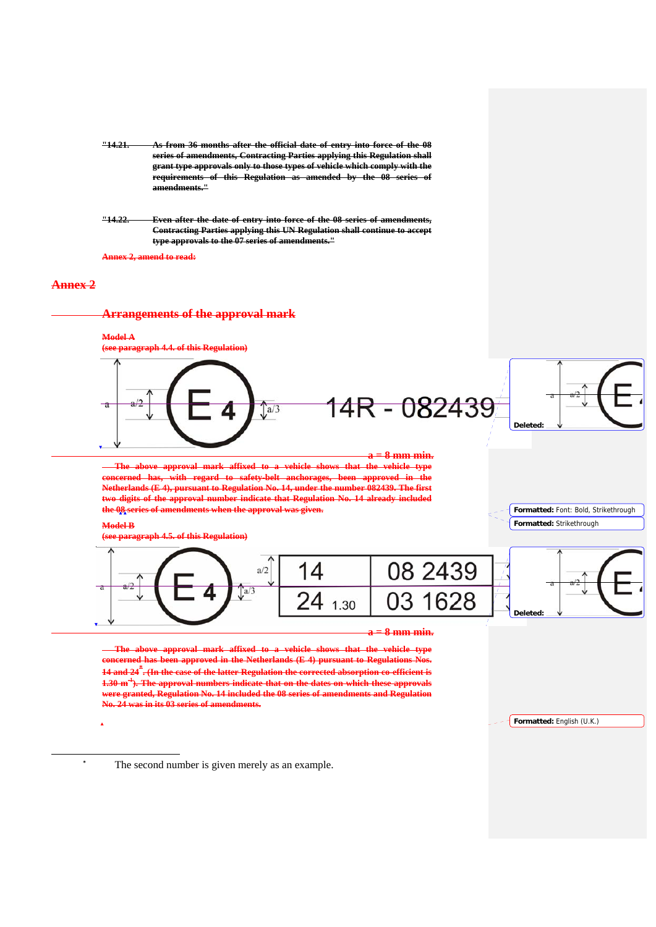- **"14.21. As from 36 months after the official date of entry into force of the 08 series of amendments, Contracting Parties applying this Regulation shall grant type approvals only to those types of vehicle which comply with the requirements of this Regulation as amended by the 08 series of amendments."**
- **"14.22. Even after the date of entry into force of the 08 series of amendments, Contracting Parties applying this UN Regulation shall continue to accept type approvals to the 07 series of amendments."**

**Annex 2, amend to read:**

# **Annex 2**

-

# **Arrangements of the approval mark**

### **Model A**







#### **8 mm min.**

 **The above approval mark affixed to a vehicle shows that the vehicle type concerned has been approved in the Netherlands (E 4) pursuant to Regulations Nos. 14 and 24\* . (In the case of the latter Regulation the corrected absorption co-efficient is 1.30 m-1). The approval numbers indicate that on the dates on which these approvals were granted, Regulation No. 14 included the 08 series of amendments and Regulation No. 24 was in its 03 series of amendments.** 

**Formatted:** English (U.K.)

**\*** The second number is given merely as an example.